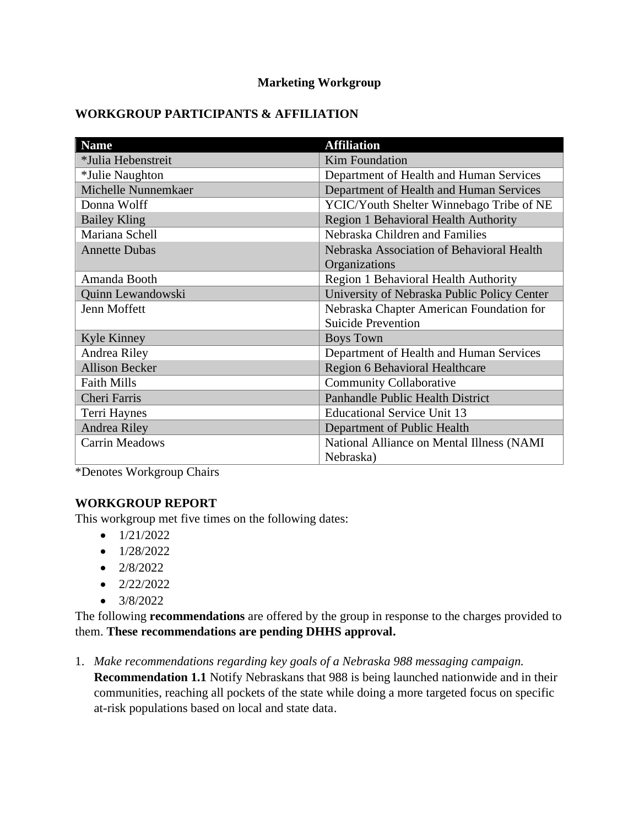### **Marketing Workgroup**

## **WORKGROUP PARTICIPANTS & AFFILIATION**

| <b>Name</b>           | <b>Affiliation</b>                          |  |
|-----------------------|---------------------------------------------|--|
| *Julia Hebenstreit    | <b>Kim Foundation</b>                       |  |
| *Julie Naughton       | Department of Health and Human Services     |  |
| Michelle Nunnemkaer   | Department of Health and Human Services     |  |
| Donna Wolff           | YCIC/Youth Shelter Winnebago Tribe of NE    |  |
| <b>Bailey Kling</b>   | Region 1 Behavioral Health Authority        |  |
| Mariana Schell        | Nebraska Children and Families              |  |
| <b>Annette Dubas</b>  | Nebraska Association of Behavioral Health   |  |
|                       | Organizations                               |  |
| Amanda Booth          | Region 1 Behavioral Health Authority        |  |
| Quinn Lewandowski     | University of Nebraska Public Policy Center |  |
| Jenn Moffett          | Nebraska Chapter American Foundation for    |  |
|                       | <b>Suicide Prevention</b>                   |  |
| Kyle Kinney           | <b>Boys Town</b>                            |  |
| Andrea Riley          | Department of Health and Human Services     |  |
| <b>Allison Becker</b> | Region 6 Behavioral Healthcare              |  |
| <b>Faith Mills</b>    | <b>Community Collaborative</b>              |  |
| <b>Cheri Farris</b>   | Panhandle Public Health District            |  |
| Terri Haynes          | <b>Educational Service Unit 13</b>          |  |
| Andrea Riley          | Department of Public Health                 |  |
| <b>Carrin Meadows</b> | National Alliance on Mental Illness (NAMI   |  |
|                       | Nebraska)                                   |  |

\*Denotes Workgroup Chairs

## **WORKGROUP REPORT**

This workgroup met five times on the following dates:

- $\bullet$  1/21/2022
- $\bullet$  1/28/2022
- $\bullet$  2/8/2022
- $\bullet$  2/22/2022
- $3/8/2022$

The following **recommendations** are offered by the group in response to the charges provided to them. **These recommendations are pending DHHS approval.**

1. *Make recommendations regarding key goals of a Nebraska 988 messaging campaign.* **Recommendation 1.1** Notify Nebraskans that 988 is being launched nationwide and in their communities, reaching all pockets of the state while doing a more targeted focus on specific at-risk populations based on local and state data.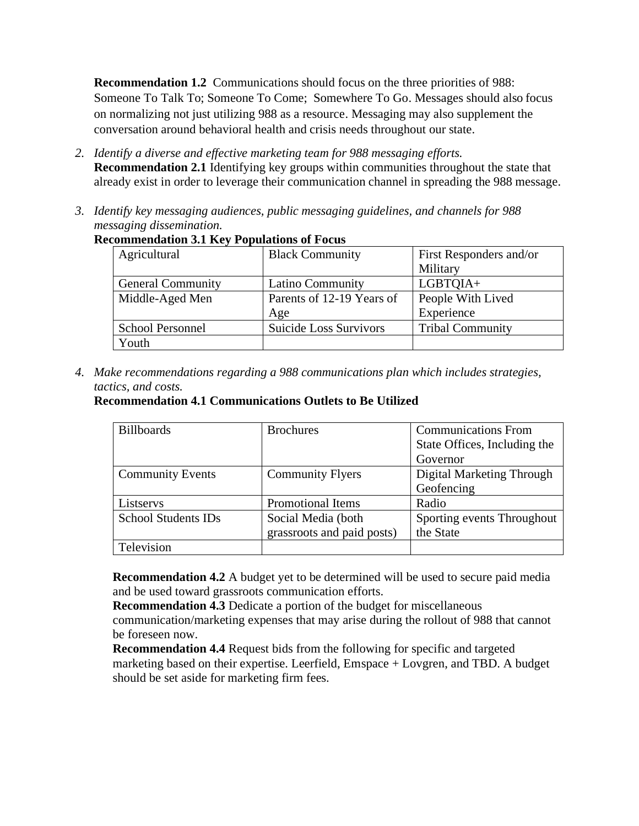**Recommendation 1.2** Communications should focus on the three priorities of 988: Someone To Talk To; Someone To Come; Somewhere To Go. Messages should also focus on normalizing not just utilizing 988 as a resource. Messaging may also supplement the conversation around behavioral health and crisis needs throughout our state.

- *2. Identify a diverse and effective marketing team for 988 messaging efforts.*
	- **Recommendation 2.1** Identifying key groups within communities throughout the state that already exist in order to leverage their communication channel in spreading the 988 message.
- *3. Identify key messaging audiences, public messaging guidelines, and channels for 988 messaging dissemination.*

| Agricultural             | <b>Black Community</b>    | First Responders and/or |
|--------------------------|---------------------------|-------------------------|
|                          |                           | Military                |
| <b>General Community</b> | Latino Community          | LGBTQIA+                |
| Middle-Aged Men          | Parents of 12-19 Years of | People With Lived       |
|                          | Age                       | Experience              |
| <b>School Personnel</b>  | Suicide Loss Survivors    | <b>Tribal Community</b> |
| Youth                    |                           |                         |

#### **Recommendation 3.1 Key Populations of Focus**

*4. Make recommendations regarding a 988 communications plan which includes strategies, tactics, and costs.*

#### **Recommendation 4.1 Communications Outlets to Be Utilized**

| <b>Billboards</b>          | <b>Brochures</b>           | <b>Communications From</b>   |
|----------------------------|----------------------------|------------------------------|
|                            |                            | State Offices, Including the |
|                            |                            | Governor                     |
| <b>Community Events</b>    | <b>Community Flyers</b>    | Digital Marketing Through    |
|                            |                            | Geofencing                   |
| Listservs                  | Promotional Items          | Radio                        |
| <b>School Students IDs</b> | Social Media (both         | Sporting events Throughout   |
|                            | grassroots and paid posts) | the State                    |
| Television                 |                            |                              |

**Recommendation 4.2** A budget yet to be determined will be used to secure paid media and be used toward grassroots communication efforts.

**Recommendation 4.3** Dedicate a portion of the budget for miscellaneous

communication/marketing expenses that may arise during the rollout of 988 that cannot be foreseen now.

**Recommendation 4.4** Request bids from the following for specific and targeted marketing based on their expertise. Leerfield, Emspace + Lovgren, and TBD. A budget should be set aside for marketing firm fees.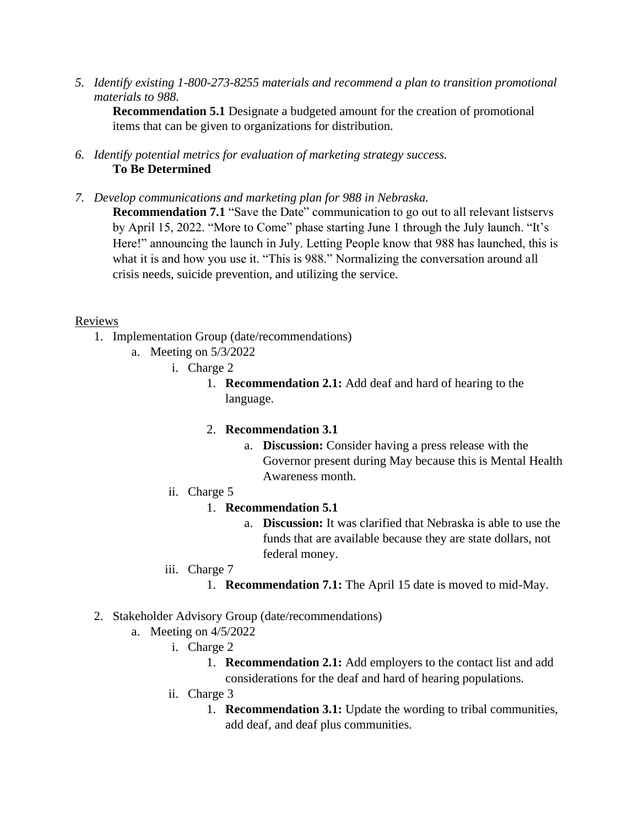*5. Identify existing 1-800-273-8255 materials and recommend a plan to transition promotional materials to 988.*

**Recommendation 5.1** Designate a budgeted amount for the creation of promotional items that can be given to organizations for distribution.

- *6. Identify potential metrics for evaluation of marketing strategy success.*  **To Be Determined**
- *7. Develop communications and marketing plan for 988 in Nebraska.*

**Recommendation 7.1** "Save the Date" communication to go out to all relevant listservs by April 15, 2022. "More to Come" phase starting June 1 through the July launch. "It's Here!" announcing the launch in July. Letting People know that 988 has launched, this is what it is and how you use it. "This is 988." Normalizing the conversation around all crisis needs, suicide prevention, and utilizing the service.

### Reviews

- 1. Implementation Group (date/recommendations)
	- a. Meeting on 5/3/2022
		- i. Charge 2
			- 1. **Recommendation 2.1:** Add deaf and hard of hearing to the language.

## 2. **Recommendation 3.1**

- a. **Discussion:** Consider having a press release with the Governor present during May because this is Mental Health Awareness month.
- ii. Charge 5

## 1. **Recommendation 5.1**

- a. **Discussion:** It was clarified that Nebraska is able to use the funds that are available because they are state dollars, not federal money.
- iii. Charge 7
	- 1. **Recommendation 7.1:** The April 15 date is moved to mid-May.
- 2. Stakeholder Advisory Group (date/recommendations)
	- a. Meeting on 4/5/2022
		- i. Charge 2
			- 1. **Recommendation 2.1:** Add employers to the contact list and add considerations for the deaf and hard of hearing populations.
			- ii. Charge 3
				- 1. **Recommendation 3.1:** Update the wording to tribal communities, add deaf, and deaf plus communities.